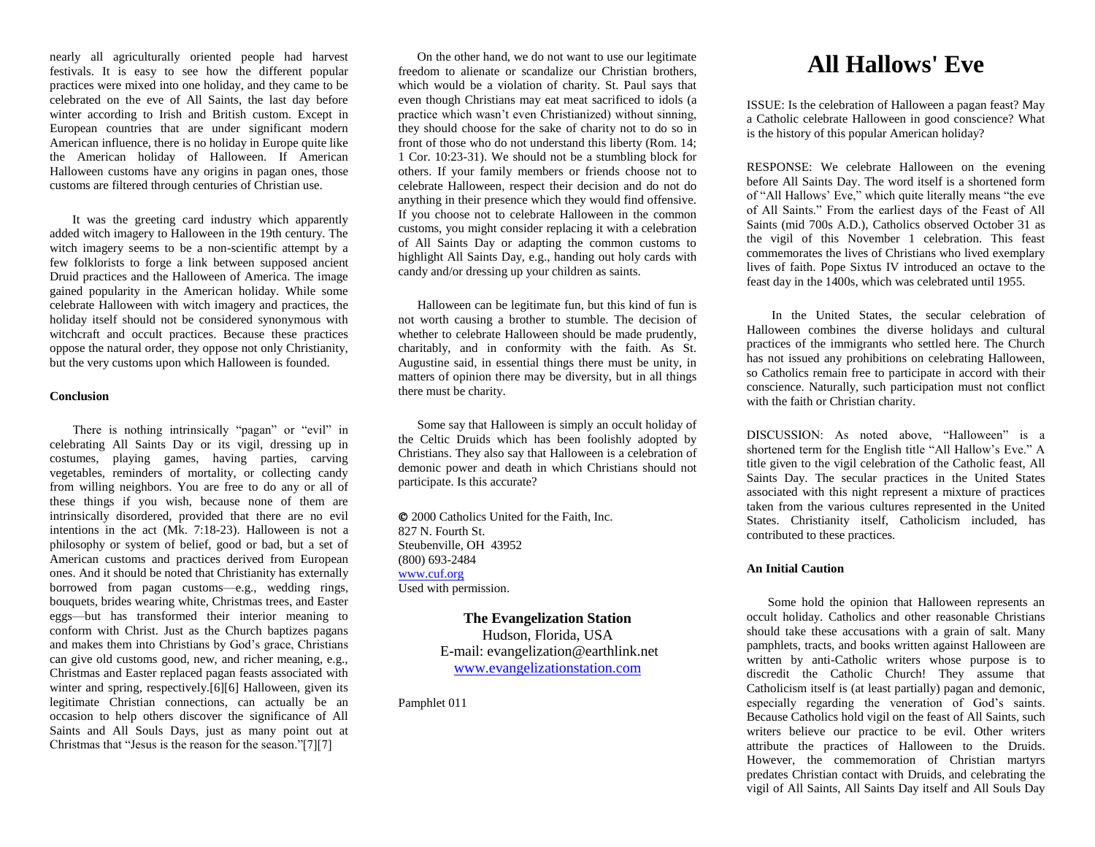nearly all agriculturally oriented people had harvest festivals. It is easy to see how the different popular practices were mixed into one holiday, and they came to be celebrated on the eve of All Saints, the last day before winter according to Irish and British custom. Except in European countries that are under significant modern American influence, there is no holiday in Europe quite like the American holiday of Halloween. If American Halloween customs have any origins in pagan ones, those customs are filtered through centuries of Christian use.

 It was the greeting card industry which apparently added witch imagery to Halloween in the 19th century. The witch imagery seems to be a non-scientific attempt by a few folklorists to forge a link between supposed ancient Druid practices and the Halloween of America. The image gained popularity in the American holiday. While some celebrate Halloween with witch imagery and practices, the holiday itself should not be considered synonymous with witchcraft and occult practices. Because these practices oppose the natural order, they oppose not only Christianity, but the very customs upon which Halloween is founded.

### **Conclusion**

 There is nothing intrinsically "pagan" or "evil" in celebrating All Saints Day or its vigil, dressing up in costumes, playing games, having parties, carving vegetables, reminders of mortality, or collecting candy from willing neighbors. You are free to do any or all of these things if you wish, because none of them are intrinsically disordered, provided that there are no evil intentions in the act (Mk. 7:18-23). Halloween is not a philosophy or system of belief, good or bad, but a set of American customs and practices derived from European ones. And it should be noted that Christianity has externally borrowed from pagan customs—e.g., wedding rings, bouquets, brides wearing white, Christmas trees, and Easter eggs—but has transformed their interior meaning to conform with Christ. Just as the Church baptizes pagans and makes them into Christians by God's grace, Christians can give old customs good, new, and richer meaning, e.g., Christmas and Easter replaced pagan feasts associated with winter and spring, respectively.<sup>[6][6]</sup> Halloween, given its legitimate Christian connections, can actually be an occasion to help others discover the significance of All Saints and All Souls Days, just as many point out at Christmas that "Jesus is the reason for the season."[7][7]

 On the other hand, we do not want to use our legitimate freedom to alienate or scandalize our Christian brothers, which would be a violation of charity. St. Paul says that even though Christians may eat meat sacrificed to idols (a practice which wasn't even Christianized) without sinning, they should choose for the sake of charity not to do so in front of those who do not understand this liberty (Rom. 14; 1 Cor. 10:23-31). We should not be a stumbling block for others. If your family members or friends choose not to celebrate Halloween, respect their decision and do not do anything in their presence which they would find offensive. If you choose not to celebrate Halloween in the common customs, you might consider replacing it with a celebration of All Saints Day or adapting the common customs to highlight All Saints Day, e.g., handing out holy cards with candy and/or dressing up your children as saints.

 Halloween can be legitimate fun, but this kind of fun is not worth causing a brother to stumble. The decision of whether to celebrate Halloween should be made prudently, charitably, and in conformity with the faith. As St. Augustine said, in essential things there must be unity, in matters of opinion there may be diversity, but in all things there must be charity.

 Some say that Halloween is simply an occult holiday of the Celtic Druids which has been foolishly adopted by Christians. They also say that Halloween is a celebration of demonic power and death in which Christians should not participate. Is this accurate?

 2000 Catholics United for the Faith, Inc. 827 N. Fourth St. Steubenville, OH 43952 (800) 693-2484 [www.cuf.org](http://www.cuf.org/) Used with permission.

> **The Evangelization Station** Hudson, Florida, USA E-mail: evangelization@earthlink.net [www.evangelizationstation.com](http://www.pjpiisoe.org/)

Pamphlet 011

# **All Hallows' Eve**

ISSUE: Is the celebration of Halloween a pagan feast? May a Catholic celebrate Halloween in good conscience? What is the history of this popular American holiday?

RESPONSE: We celebrate Halloween on the evening before All Saints Day. The word itself is a shortened form of "All Hallows' Eve," which quite literally means "the eve of All Saints." From the earliest days of the Feast of All Saints (mid 700s A.D.), Catholics observed October 31 as the vigil of this November 1 celebration. This feast commemorates the lives of Christians who lived exemplary lives of faith. Pope Sixtus IV introduced an octave to the feast day in the 1400s, which was celebrated until 1955.

 In the United States, the secular celebration of Halloween combines the diverse holidays and cultural practices of the immigrants who settled here. The Church has not issued any prohibitions on celebrating Halloween, so Catholics remain free to participate in accord with their conscience. Naturally, such participation must not conflict with the faith or Christian charity.

DISCUSSION: As noted above, "Halloween" is a shortened term for the English title "All Hallow's Eve." A title given to the vigil celebration of the Catholic feast, All Saints Day. The secular practices in the United States associated with this night represent a mixture of practices taken from the various cultures represented in the United States. Christianity itself, Catholicism included, has contributed to these practices.

#### **An Initial Caution**

 Some hold the opinion that Halloween represents an occult holiday. Catholics and other reasonable Christians should take these accusations with a grain of salt. Many pamphlets, tracts, and books written against Halloween are written by anti-Catholic writers whose purpose is to discredit the Catholic Church! They assume that Catholicism itself is (at least partially) pagan and demonic, especially regarding the veneration of God's saints. Because Catholics hold vigil on the feast of All Saints, such writers believe our practice to be evil. Other writers attribute the practices of Halloween to the Druids. However, the commemoration of Christian martyrs predates Christian contact with Druids, and celebrating the vigil of All Saints, All Saints Day itself and All Souls Day